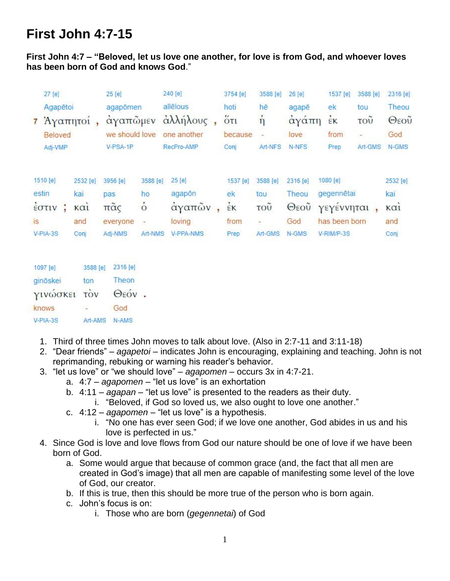# **First John 4:7-15**

#### **First John 4:7 – "Beloved, let us love one another, for love is from God, and whoever loves has been born of God and knows God**."

|    | 27 [e]<br>Agapētoi<br>7 Άγαπητοί<br>Beloved<br>Adj-VMP |   | V-PSA-1P                       |                | $25$ [e]<br>240 [e]<br>allēlous<br>agapõmen<br>άλλήλους,<br>αγαπώμεν<br>we should love<br>one another<br>RecPro-AMP |           | 3754 [e]<br>hoti<br>$5\tau$<br>because | 3588 [e]<br>hē<br>$\eta$ | 26 [e]<br>agapē<br>αγάπη<br>love | 1537 [e]<br>ek<br>EK<br>from | 3588 [e]<br>tou<br>τοῦ<br>$\overline{\phantom{a}}$ | 2316 [e]<br>Theou<br>Θεοῦ<br>God |
|----|--------------------------------------------------------|---|--------------------------------|----------------|---------------------------------------------------------------------------------------------------------------------|-----------|----------------------------------------|--------------------------|----------------------------------|------------------------------|----------------------------------------------------|----------------------------------|
|    |                                                        |   |                                |                |                                                                                                                     |           | Conj                                   | Art-NFS                  | N-NFS                            | Prep                         | Art-GMS                                            | N-GMS                            |
|    | 1510 [e]                                               |   | 2532 [e]                       | 3956 [e]       | 3588 [e]                                                                                                            | 25 [e]    | 1537 [e]                               | 3588 [e]                 | 2316 [e]                         | 1080 [e]                     |                                                    | 2532 [e]                         |
|    | estin                                                  |   | kai                            | pas            | ho                                                                                                                  | agapon    | ek                                     | tou                      | Theou                            | gegennētai                   |                                                    | kai                              |
|    | EOTIV                                                  | G | $\kappa$ $\alpha$ <sub>l</sub> | $π\tilde{α}$ ς | $\dot{\circ}$                                                                                                       | αγαπῶν,   | EK                                     | TOU                      | $\Theta$ εου                     | γεγέννηται                   |                                                    | καì                              |
| is |                                                        |   | and                            | everyone       | $\overline{a}$                                                                                                      | loving    | from                                   | $\equiv$                 | God                              | has been born                |                                                    | and                              |
|    | V-PIA-3S                                               |   | Conj                           | Adj-NMS        | Art-NMS                                                                                                             | V-PPA-NMS | Prep                                   | Art-GMS                  | N-GMS                            | V-RIM/P-3S                   |                                                    | Conj                             |
|    |                                                        |   | $2500$ $\omega$                | 2216 [e]       |                                                                                                                     |           |                                        |                          |                                  |                              |                                                    |                                  |

| $1001$ $\sigma$ |               | and let the latter |
|-----------------|---------------|--------------------|
| ginöskei        | ton           | Theon              |
| γινώσκει τον    |               | Θεόν.              |
| knows           | <b>SALE</b>   | God                |
| V-PIA-3S        | Art-AMS N-AMS |                    |

- 1. Third of three times John moves to talk about love. (Also in 2:7-11 and 3:11-18)
- 2. "Dear friends" *agapetoi* indicates John is encouraging, explaining and teaching. John is not reprimanding, rebuking or warning his reader's behavior.
- 3. "let us love" or "we should love" *agapomen* occurs 3x in 4:7-21.
	- a. 4:7 *agapomen* "let us love" is an exhortation
	- b. 4:11 *agapan* "let us love" is presented to the readers as their duty.
		- i. "Beloved, if God so loved us, we also ought to love one another."
	- c. 4:12 *agapomen* "let us love" is a hypothesis.
		- i. "No one has ever seen God; if we love one another, God abides in us and his love is perfected in us."
- 4. Since God is love and love flows from God our nature should be one of love if we have been born of God.
	- a. Some would argue that because of common grace (and, the fact that all men are created in God's image) that all men are capable of manifesting some level of the love of God, our creator.
	- b. If this is true, then this should be more true of the person who is born again.
	- c. John's focus is on:
		- i. Those who are born (*gegennetai*) of God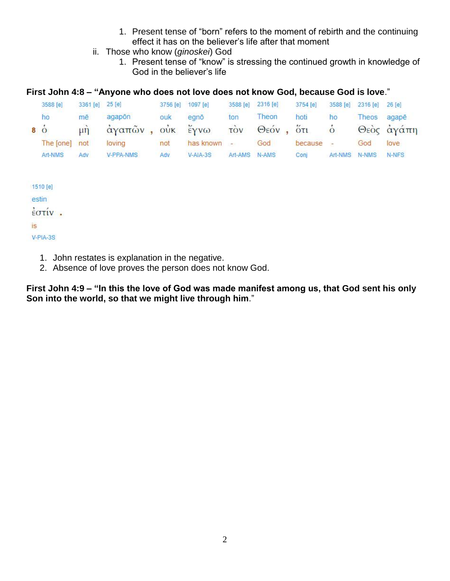- 1. Present tense of "born" refers to the moment of rebirth and the continuing effect it has on the believer's life after that moment
- ii. Those who know (*ginoskei*) God
	- 1. Present tense of "know" is stressing the continued growth in knowledge of God in the believer's life

#### **First John 4:8 – "Anyone who does not love does not know God, because God is love**."

| 3588 [e]            | 3361 [e] 25 [e] |             | 3756 [e] | 1097 [e]          | 3588 [e]      | 2316 [e]  | 3754 [e] | 3588 [e]       | 2316 [e] 26 [e] |            |
|---------------------|-----------------|-------------|----------|-------------------|---------------|-----------|----------|----------------|-----------------|------------|
| ho                  | mē              | agapon      | ouk      | egnō              | ton           | Theon     | hoti     | ho             | Theos           | agapē      |
| $\dot{8}$ $\dot{0}$ | $\mu$ n         | άγαπῶν, οὐκ |          | $\frac{v}{2}$ γνω | τòν           | Θεόν, ότι |          | $\overline{O}$ |                 | Θεός άγάπη |
| The [one]           | not             | loving      | not      | has known -       |               | God       | because  | $\overline{a}$ | God             | love       |
| Art-NMS             | Adv             | V-PPA-NMS   | Adv      | $V-AIA-3S$        | Art-AMS N-AMS |           | Coni     | Art-NMS N-NMS  |                 | N-NFS      |
|                     |                 |             |          |                   |               |           |          |                |                 |            |

1510 [e] estin  $εστίν$ . **IS** V-PIA-3S

- 1. John restates is explanation in the negative.
- 2. Absence of love proves the person does not know God.

**First John 4:9 – "In this the love of God was made manifest among us, that God sent his only Son into the world, so that we might live through him**."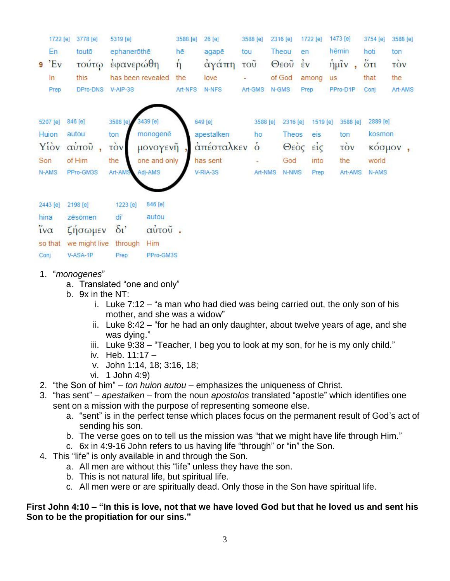|      | 1722 [e]            | 3778 [e]                 | 5319 [e]              |                   | 3588 [e]     | 26 [e]       |     | 3588 [e] |  | 2316 [e] | 1722 [e]       |                   | 1473 [e]  |          | 3754 [e] | 3588 [e] |
|------|---------------------|--------------------------|-----------------------|-------------------|--------------|--------------|-----|----------|--|----------|----------------|-------------------|-----------|----------|----------|----------|
|      | En                  | toutō                    | ephaneröthe           |                   | hē           | agapē        | tou |          |  | Theou    | en             |                   | hēmin     |          | hoti     | ton      |
|      | $9'$ Ev             | τούτω                    | έφανερώθη             |                   | $\dot{\eta}$ | άγάπη        | τοῦ |          |  | Θεοῦ     | $\frac{1}{2}v$ |                   | $ημ$ ῖν   |          | 5t       | τòν      |
|      | In                  | this                     |                       | has been revealed | the          | love         |     |          |  | of God   | among          |                   | <b>US</b> |          | that     | the      |
|      | Prep                | DPro-DNS                 | $V-AIP-3S$            |                   | Art-NFS      | N-NFS        |     | Art-GMS  |  | N-GMS    | Prep           |                   | PPro-D1P  |          | Conj     | Art-AMS  |
|      |                     |                          |                       |                   |              |              |     |          |  |          |                |                   |           |          |          |          |
|      | 5207 [e]            | 846 [e]                  | 3588 [e]              | 3439 [e]          |              | 649 [e]      |     | 3588 [e] |  | 2316 [e] |                | 1519 [e]          |           | 3588 [e] | 2889 [e] |          |
|      | Huion               | monogenē<br>autou<br>ton |                       |                   | apestalken   |              | ho  | Theos    |  |          | eis            | ton               |           | kosmon   |          |          |
|      | Yiov                | αύτου,                   | τòν                   | μονογενῆ          |              | απέσταλκεν ο |     |          |  | Θεός     |                | $\epsilon i\zeta$ | τòν       |          | κόσμον   |          |
|      | Son                 | of Him                   | the                   | one and only      |              | has sent     |     |          |  | God      |                | into              | the       |          | world    |          |
|      | N-AMS               | PPro-GM3S                | Art-AMS               | Adj-AMS           |              | V-RIA-3S     |     | Art-NMS  |  | N-NMS    |                | Prep              |           | Art-AMS  | N-AMS    |          |
|      | 2443 [e]            | 2198 [e]                 | 1223 [e]              | 846 [e]           |              |              |     |          |  |          |                |                   |           |          |          |          |
|      | hina                | zēsōmen                  | di                    | autou             |              |              |     |          |  |          |                |                   |           |          |          |          |
|      | $i\mathsf{v}\alpha$ | ζησωμεν                  | $\delta$ <sup>'</sup> | αὐτοῦ.            |              |              |     |          |  |          |                |                   |           |          |          |          |
|      | so that             | we might live            | through               | Him               |              |              |     |          |  |          |                |                   |           |          |          |          |
| Conj |                     | V-ASA-1P                 | Prep                  | PPro-GM3S         |              |              |     |          |  |          |                |                   |           |          |          |          |

- 1. "*monogenes*"
	- a. Translated "one and only"
	- b. 9x in the NT:
		- i. Luke 7:12 "a man who had died was being carried out, the only son of his mother, and she was a widow"
		- ii. Luke 8:42 "for he had an only daughter, about twelve years of age, and she was dying."
		- iii. Luke  $9:38 -$  "Teacher, I beg you to look at my son, for he is my only child."
		- iv. Heb. 11:17 –
		- v. John 1:14, 18; 3:16, 18;
		- vi. 1 John 4:9)
- 2. "the Son of him" *ton huion autou* emphasizes the uniqueness of Christ.
- 3. "has sent" *apestalken* from the noun *apostolos* translated "apostle" which identifies one sent on a mission with the purpose of representing someone else.
	- a. "sent" is in the perfect tense which places focus on the permanent result of God's act of sending his son.
	- b. The verse goes on to tell us the mission was "that we might have life through Him."
	- c. 6x in 4:9-16 John refers to us having life "through" or "in" the Son.
- 4. This "life" is only available in and through the Son.
	- a. All men are without this "life" unless they have the son.
	- b. This is not natural life, but spiritual life.
	- c. All men were or are spiritually dead. Only those in the Son have spiritual life.

#### **First John 4:10 – "In this is love, not that we have loved God but that he loved us and sent his Son to be the propitiation for our sins."**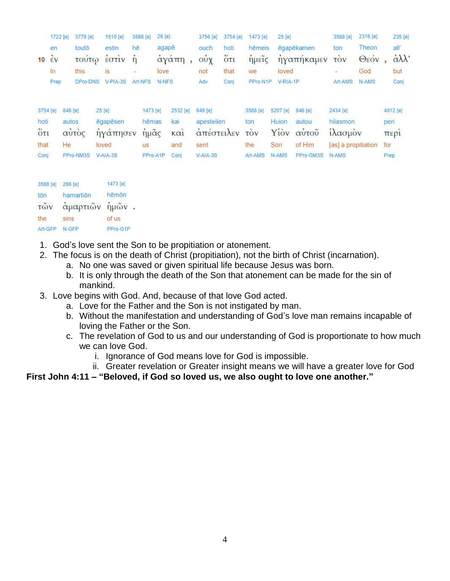|               | 1722 [e] | 3778 [e]                           | 1510 [e]       | 3588 [e]     | 26 [e]   |                                | 3756 [e]   | 3754 [e] | 1473 [e]   | 25 [e]   |            | 3588 [e]                 | 2316 [e] |      | 235 [e]                      |
|---------------|----------|------------------------------------|----------------|--------------|----------|--------------------------------|------------|----------|------------|----------|------------|--------------------------|----------|------|------------------------------|
|               | en       | toutō                              | estin          | hē           | agapē    |                                | ouch       | hoti     | hēmeis     |          | ēgapēkamen | ton                      | Theon    |      | all'                         |
| 10            | έv       | τούτω                              | $\frac{1}{2}$  | $\dot{\eta}$ |          | άγάπη,                         | ούχ        | $5\tau$  | ήμεις      |          | ήγαπήκαμεν | τòν                      | Θεόν     |      | $\dot{\alpha}\lambda\lambda$ |
|               | ln       | this.                              | is.            |              | love     |                                | not        | that     | we         | loved    |            | $\overline{\phantom{a}}$ | God      |      | but                          |
|               | Prep     | DPro-DNS                           | $V-PIA-3S$     | Art-NFS      | N-NFS    |                                | Adv        | Conj     | PPro-N1P   | V-RIA-1P |            | Art-AMS                  | N-AMS    |      | Conj                         |
|               |          |                                    |                |              |          |                                |            |          |            |          |            |                          |          |      |                              |
|               | 3754 [e] | 846 [e]                            | 25 [e]         | 1473 [e]     |          | 2532 [e]                       | 649 [e]    |          | 3588 [e]   | 5207 [e] | 846 [e]    | 2434 [e]                 |          |      | 4012 [e]                     |
| hoti          |          | autos                              | égapésen       | hēmas        |          | kai                            | apesteilen |          | ton        | Huion    | autou      | hilasmon                 |          |      | peri                         |
| $5\tau$       |          | αὐτὸς                              | ηγάπησεν       | ήμας         |          | $\kappa$ $\alpha$ <sub>i</sub> | απέστειλεν |          | <b>TOV</b> |          | Υίον αυτου | ίλασμον                  |          |      | περί                         |
| that          |          | He                                 | loved          | <b>US</b>    |          | and                            | sent       |          | the        | Son      | of Him     | [as] a propitiation      |          | for  |                              |
| Conj          |          | PPro-NM3S                          | V-AIA-3S       |              | PPro-A1P | Conj                           | V-AIA-3S   |          | Art-AMS    | N-AMS    | PPro-GM3S  | N-AMS                    |          | Prep |                              |
|               | 3588 [e] | 266 [e]                            | 1473 [e]       |              |          |                                |            |          |            |          |            |                          |          |      |                              |
| tōn           |          | hamartion                          | hēmōn          |              |          |                                |            |          |            |          |            |                          |          |      |                              |
| τῶν           |          |                                    | αμαρτιών ήμών. |              |          |                                |            |          |            |          |            |                          |          |      |                              |
| THE RESIDENCE |          | THE REPORT OF A REPORT OF A REPORT |                |              |          |                                |            |          |            |          |            |                          |          |      |                              |

- the **SINS** of us Art-GFP N-GFP PPro-G1P
- 1. God's love sent the Son to be propitiation or atonement.
- 2. The focus is on the death of Christ (propitiation), not the birth of Christ (incarnation).
	- a. No one was saved or given spiritual life because Jesus was born.
	- b. It is only through the death of the Son that atonement can be made for the sin of mankind.
- 3. Love begins with God. And, because of that love God acted.
	- a. Love for the Father and the Son is not instigated by man.
	- b. Without the manifestation and understanding of God's love man remains incapable of loving the Father or the Son.
	- c. The revelation of God to us and our understanding of God is proportionate to how much we can love God.
		- i. Ignorance of God means love for God is impossible.
		- ii. Greater revelation or Greater insight means we will have a greater love for God

**First John 4:11 – "Beloved, if God so loved us, we also ought to love one another."**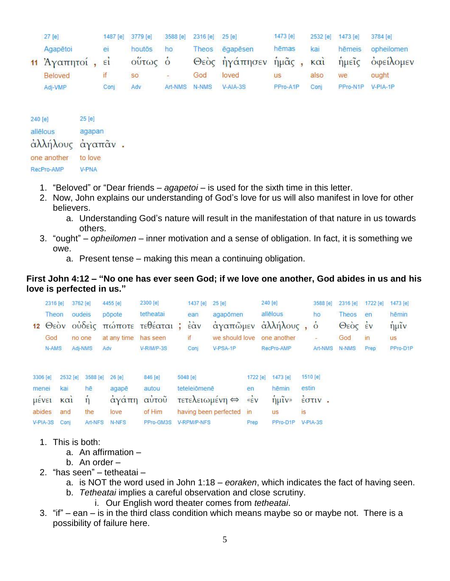|         | 27 [e]          | 1487 [e] | 3779 [e] | 3588 [e]                | 2316 [e] 25 [e] |               | 1473 [e] | 2532 [e]    | 1473 [e] | 3784 [e]   |
|---------|-----------------|----------|----------|-------------------------|-----------------|---------------|----------|-------------|----------|------------|
|         | Agapētoi        | ei       | houtōs   | ho                      | Theos           | égapésen      | hēmas    | kai         | hēmeis   | opheilomen |
|         | 11 Άγαπητοί, εί |          | ούτως ό  |                         |                 | Θεός ήγάπησεν | ήμας,    | $k\alpha i$ | ήμεις    | οφείλομεν  |
|         | Beloved         | if       | SO       | $\overline{\mathbb{C}}$ | God             | loved         | us       | also        | we       | ought      |
|         | Adj-VMP         | Conj     | Adv      | Art-NMS                 | N-NMS           | V-AIA-3S      | PPro-A1P | Conj        | PPro-N1P | V-PIA-1P   |
|         |                 |          |          |                         |                 |               |          |             |          |            |
| 240 [e] | $25$ [e]        |          |          |                         |                 |               |          |             |          |            |

| allēlous         | agapan  |  |
|------------------|---------|--|
| άλλήλους άγαπᾶν. |         |  |
| one another      | to love |  |
| RecPro-AMP       | V-PNA   |  |

- 1. "Beloved" or "Dear friends *agapetoi* is used for the sixth time in this letter.
- 2. Now, John explains our understanding of God's love for us will also manifest in love for other believers.
	- a. Understanding God's nature will result in the manifestation of that nature in us towards others.
- 3. "ought" *opheilomen* inner motivation and a sense of obligation. In fact, it is something we owe.
	- a. Present tense making this mean a continuing obligation.

#### **First John 4:12 – "No one has ever seen God; if we love one another, God abides in us and his love is perfected in us."**

|          | 2316 [e]      |          | 3762 [e] |          | 4455 [e]    | 2300 [e]                | 1437 [e]                                    | 25 [e]                                   |          | 240 [e]                              |           | 3588 [e]                                                                                                                                                                                                                                                                                                                                        | 2316 [e] | 1722 [e]      | 1473 [e] |
|----------|---------------|----------|----------|----------|-------------|-------------------------|---------------------------------------------|------------------------------------------|----------|--------------------------------------|-----------|-------------------------------------------------------------------------------------------------------------------------------------------------------------------------------------------------------------------------------------------------------------------------------------------------------------------------------------------------|----------|---------------|----------|
|          | Theon         |          | oudeis   |          | põpote      | tetheatai               | ean                                         | agapõmen                                 |          | allēlous                             |           | ho                                                                                                                                                                                                                                                                                                                                              | Theos    | en            | hēmin    |
| 12       | $\Theta$ εον  |          |          |          |             | ούδεις πώποτε τεθέαται; | $\ddot{\epsilon}$ $\dot{\alpha}$ $\upsilon$ | αγαπώμεν                                 |          | άλληλους,                            |           | $\delta$                                                                                                                                                                                                                                                                                                                                        | Θεός έν  |               | ήμιν     |
|          | God           |          | no one   |          | at any time | has seen                | if                                          | we should love                           |          | one another                          |           | $\overline{\phantom{a}}$                                                                                                                                                                                                                                                                                                                        | God      | $\mathsf{in}$ | us       |
|          | N-AMS         |          | Adj-NMS  |          | Adv         | V-RIM/P-3S              | Conj                                        | V-PSA-1P                                 |          | RecPro-AMP                           |           | Art-NMS                                                                                                                                                                                                                                                                                                                                         | N-NMS    | Prep          | PPro-D1P |
| 3306 [e] |               | 2532 [e] |          | 3588 [e] | $26$ [e]    | 846 [e]                 | 5048 [e]                                    |                                          | 1722 [e] | 1473 [e]                             | 1510 [e]  |                                                                                                                                                                                                                                                                                                                                                 |          |               |          |
| menei    |               | kai      |          | hē       | agapē       | autou                   | teteleiõmenē                                |                                          | en       | hēmin                                | estin     |                                                                                                                                                                                                                                                                                                                                                 |          |               |          |
|          | <b>LIEVEL</b> | KCl      |          | $\eta$   | αγάπη       | αύτοῦ                   |                                             | $\tau$ ετελειωμένη $\Leftrightarrow$ «έν |          | $\hat{\eta}$ $\hat{\mu} \tilde{\nu}$ |           | $\frac{1}{2}$ $\sigma$ $\frac{1}{2}$ $\sigma$ $\frac{1}{2}$ $\sigma$ $\frac{1}{2}$ $\sigma$ $\frac{1}{2}$ $\sigma$ $\frac{1}{2}$ $\sigma$ $\frac{1}{2}$ $\sigma$ $\frac{1}{2}$ $\sigma$ $\frac{1}{2}$ $\sigma$ $\frac{1}{2}$ $\sigma$ $\frac{1}{2}$ $\sigma$ $\frac{1}{2}$ $\sigma$ $\frac{1}{2}$ $\sigma$ $\frac{1}{2}$ $\sigma$ $\frac{1}{2}$ |          |               |          |
| abides   |               | and      |          | the      | love        | of Him                  |                                             | having been perfected in                 |          | <b>US</b>                            | <b>IS</b> |                                                                                                                                                                                                                                                                                                                                                 |          |               |          |
|          | V-PIA-3S      | Conj     |          | Art-NFS  | N-NFS       | PPro-GM3S               | <b>V-RPM/P-NFS</b>                          |                                          | Prep     | PPro-D1P                             |           | V-PIA-3S                                                                                                                                                                                                                                                                                                                                        |          |               |          |

- 1. This is both:
	- a. An affirmation –
	- b. An order –
- 2. "has seen" tetheatai
	- a. is NOT the word used in John 1:18 *eoraken*, which indicates the fact of having seen.
	- b. *Tetheatai* implies a careful observation and close scrutiny.
		- i. Our English word theater comes from *tetheatai*.
- 3. "if" ean is in the third class condition which means maybe so or maybe not. There is a possibility of failure here.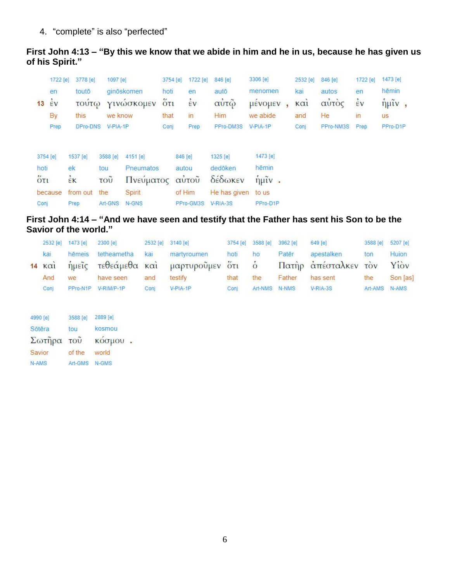4. "complete" is also "perfected"

### **First John 4:13 – "By this we know that we abide in him and he in us, because he has given us of his Spirit."**

|                   | 1722 [e]       | 3778 [e]     | 1097 [e] |            | 3754 [e]                                         | 1722 [e]       | 846 [e]      | 3306 [e]                               | 2532 [e]                       | 846 [e]   | 1722 [e]       | 1473 [e]                            |
|-------------------|----------------|--------------|----------|------------|--------------------------------------------------|----------------|--------------|----------------------------------------|--------------------------------|-----------|----------------|-------------------------------------|
|                   | en             | toutō        |          | ginöskomen | hoti                                             | en             | autō         | menomen                                | kai                            | autos     | en             | hēmin                               |
| 13                | $\frac{1}{2}v$ | <b>TOUTO</b> |          | γινώσκομεν | $\ddot{\mathrm{o}}$ <sub><math>\tau</math></sub> | $\frac{2}{5}v$ | αυτώ         | μενομεν                                | $\kappa$ $\alpha$ <sub>1</sub> | αύτὸς     | $\frac{1}{2}v$ | $\hat{\eta}$ $\mu \tilde{\iota}$ v, |
|                   | By             | this         | we know  |            | that                                             | in             | Him          | we abide                               | and                            | He        | in             | <b>us</b>                           |
|                   | Prep           | DPro-DNS     | V-PIA-1P |            | Conj                                             | Prep           | PPro-DM3S    | V-PIA-1P                               | Conj                           | PPro-NM3S | Prep           | PPro-D1P                            |
| 3754 [e]          |                | 1537 [e]     | 3588 [e] | 4151 [e]   |                                                  | 846 [e]        | 1325 [e]     | 1473 [e]                               |                                |           |                |                                     |
| hoti              |                | ek           | tou      | Pneumatos  |                                                  | autou          | dedōken      | hēmin                                  |                                |           |                |                                     |
| $\overline{6}τ$ ι |                | έĸ           | τοῦ      | Πνεύματος  |                                                  | αύτοῦ          | δέδωκεν      | $\hat{\eta}$ $\hat{\mu}$ $\hat{\nu}$ . |                                |           |                |                                     |
|                   | because        | from out     | the      | Spirit     |                                                  | of Him         | He has given | to us                                  |                                |           |                |                                     |
| Conj              |                | Prep         | Art-GNS  | N-GNS      |                                                  | PPro-GM3S      | V-RIA-3S     | PPro-D1P                               |                                |           |                |                                     |

## **First John 4:14 – "And we have seen and testify that the Father has sent his Son to be the Savior of the world."**

|                    | 2532 [e] 1473 [e] 2300 [e] |                     |      | 2532 [e] 3140 [e]                     |      | 3754 [e] 3588 [e] 3962 [e] |        | $649$ [e]                 | 3588 [e] 5207 [e] |          |
|--------------------|----------------------------|---------------------|------|---------------------------------------|------|----------------------------|--------|---------------------------|-------------------|----------|
| kai                |                            | hēmeis tetheametha  | kai  | martyroumen                           | hoti | ho                         | Patēr  | apestalken                | ton               | Huion    |
| $14 \times \alpha$ |                            |                     |      | ήμεῖς τεθεάμεθα καὶ μαρτυροῦμεν ὅτι ὁ |      |                            |        | Πατήρ απέσταλκεν τον Υίον |                   |          |
| And                | we                         | have seen           | and  | testify                               | that | the                        | Father | has sent                  | the               | Son [as] |
| Coni               |                            | PPro-N1P V-RIM/P-1P | Coni | V-PIA-1P                              | Coni | Art-NMS N-NMS              |        | V-RIA-3S                  | Art-AMS N-AMS     |          |

| 4990 [e] | 3588 [e]         | 2889 [e] |
|----------|------------------|----------|
| Sōtēra   | tou              | kosmou   |
| Σωτήρα   | $\overline{100}$ | κόσμου   |
| Savior   | of the           | world    |
| N-AMS    | Art-GMS          | N-GMS    |